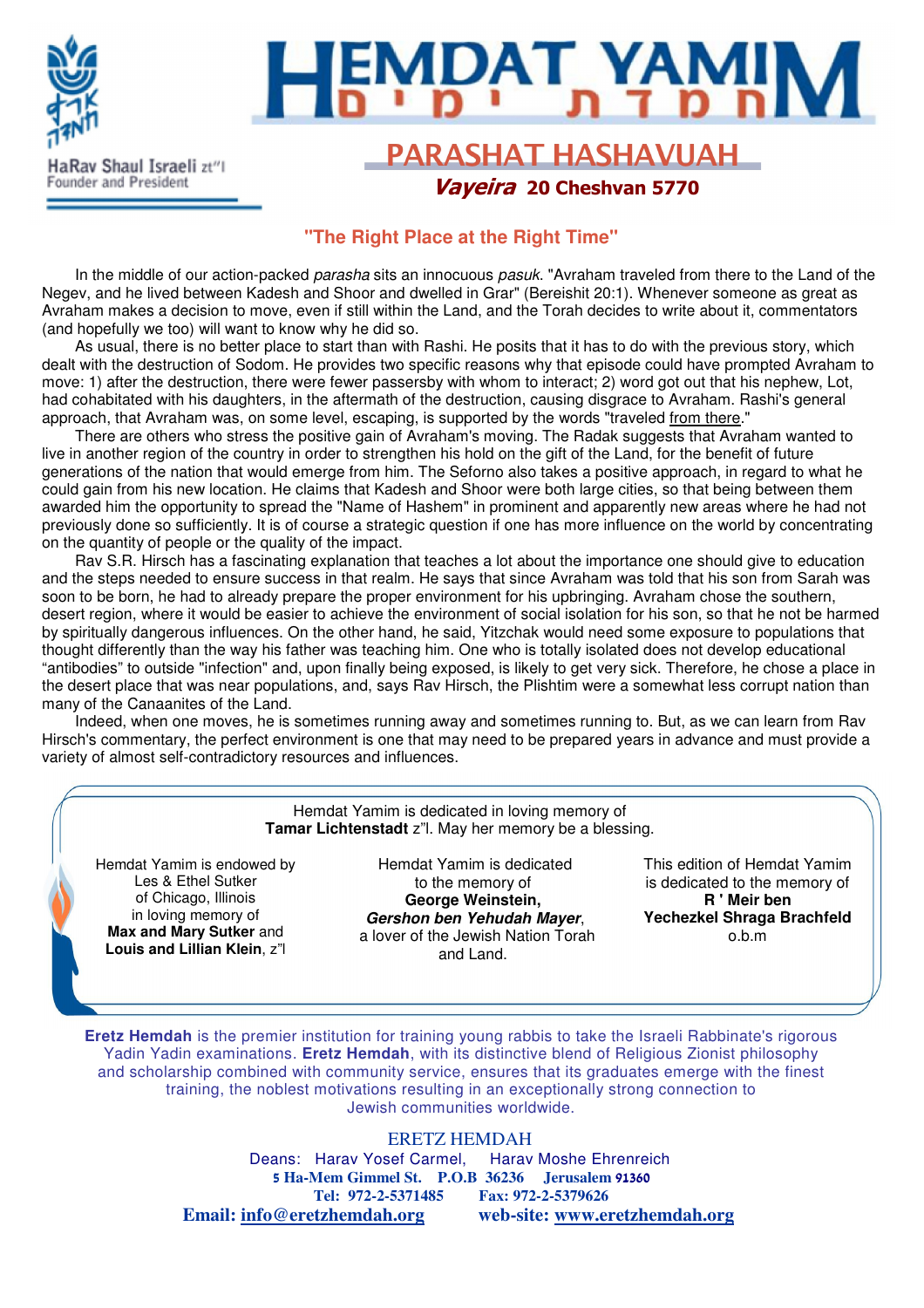

# l

### **PARASHAT HASHAVUAH** Vayeira 20 Cheshvan 5770

#### **"The Right Place at the Right Time"**

In the middle of our action-packed *parasha* sits an innocuous pasuk. "Avraham traveled from there to the Land of the Negev, and he lived between Kadesh and Shoor and dwelled in Grar" (Bereishit 20:1). Whenever someone as great as Avraham makes a decision to move, even if still within the Land, and the Torah decides to write about it, commentators (and hopefully we too) will want to know why he did so.

As usual, there is no better place to start than with Rashi. He posits that it has to do with the previous story, which dealt with the destruction of Sodom. He provides two specific reasons why that episode could have prompted Avraham to move: 1) after the destruction, there were fewer passersby with whom to interact; 2) word got out that his nephew, Lot, had cohabitated with his daughters, in the aftermath of the destruction, causing disgrace to Avraham. Rashi's general approach, that Avraham was, on some level, escaping, is supported by the words "traveled from there."

There are others who stress the positive gain of Avraham's moving. The Radak suggests that Avraham wanted to live in another region of the country in order to strengthen his hold on the gift of the Land, for the benefit of future generations of the nation that would emerge from him. The Seforno also takes a positive approach, in regard to what he could gain from his new location. He claims that Kadesh and Shoor were both large cities, so that being between them awarded him the opportunity to spread the "Name of Hashem" in prominent and apparently new areas where he had not previously done so sufficiently. It is of course a strategic question if one has more influence on the world by concentrating on the quantity of people or the quality of the impact.

Rav S.R. Hirsch has a fascinating explanation that teaches a lot about the importance one should give to education and the steps needed to ensure success in that realm. He says that since Avraham was told that his son from Sarah was soon to be born, he had to already prepare the proper environment for his upbringing. Avraham chose the southern, desert region, where it would be easier to achieve the environment of social isolation for his son, so that he not be harmed by spiritually dangerous influences. On the other hand, he said, Yitzchak would need some exposure to populations that thought differently than the way his father was teaching him. One who is totally isolated does not develop educational "antibodies" to outside "infection" and, upon finally being exposed, is likely to get very sick. Therefore, he chose a place in the desert place that was near populations, and, says Rav Hirsch, the Plishtim were a somewhat less corrupt nation than many of the Canaanites of the Land.

Indeed, when one moves, he is sometimes running away and sometimes running to. But, as we can learn from Rav Hirsch's commentary, the perfect environment is one that may need to be prepared years in advance and must provide a variety of almost self-contradictory resources and influences.

> Hemdat Yamim is dedicated in loving memory of **Tamar Lichtenstadt** z"l. May her memory be a blessing.

Hemdat Yamim is endowed by Les & Ethel Sutker of Chicago, Illinois in loving memory of **Max and Mary Sutker** and **Louis and Lillian Klein**, z"l

Hemdat Yamim is dedicated to the memory of **George Weinstein, Gershon ben Yehudah Mayer**, a lover of the Jewish Nation Torah and Land.

This edition of Hemdat Yamim is dedicated to the memory of **R ' Meir ben Yechezkel Shraga Brachfeld** o.b.m

**Eretz Hemdah** is the premier institution for training young rabbis to take the Israeli Rabbinate's rigorous Yadin Yadin examinations. **Eretz Hemdah**, with its distinctive blend of Religious Zionist philosophy and scholarship combined with community service, ensures that its graduates emerge with the finest training, the noblest motivations resulting in an exceptionally strong connection to Jewish communities worldwide.

#### ERETZ HEMDAH

Deans: Harav Yosef Carmel, Harav Moshe Ehrenreich 5 **Ha-Mem Gimmel St. P.O.B 36236 Jerusalem** 91360 **Tel: 972-2-5371485 Fax: 972-2-5379626 Email: info@eretzhemdah.org web-site: www.eretzhemdah.org**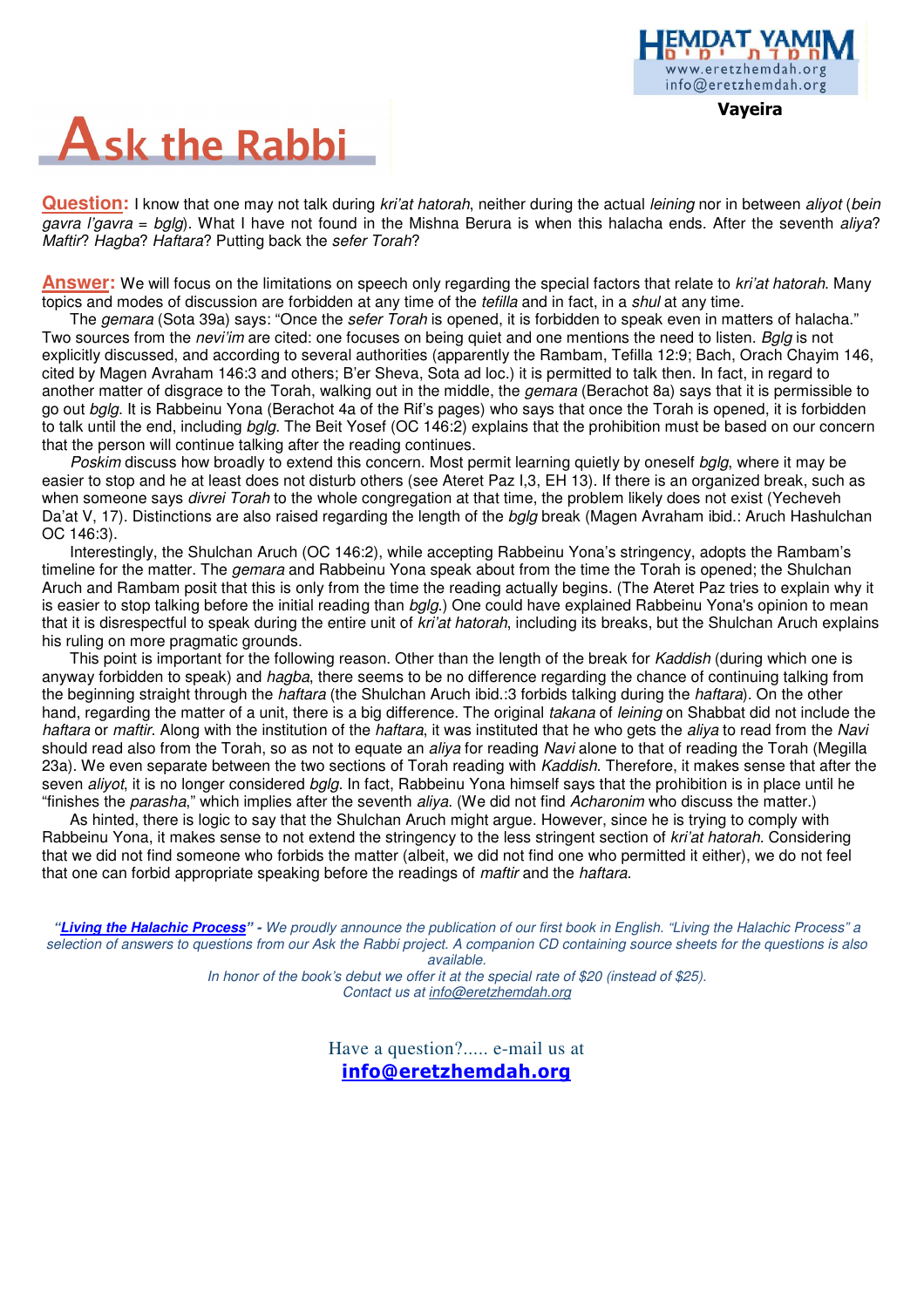# **Ask the Rabbi**

**Question:** I know that one may not talk during *kri'at hatorah*, neither during the actual *leining* nor in between *aliyot* (*bein* gavra l'gavra =  $bgq$ ). What I have not found in the Mishna Berura is when this halacha ends. After the seventh aliya? Maftir? Hagba? Haftara? Putting back the sefer Torah?

**Answer:** We will focus on the limitations on speech only regarding the special factors that relate to kri'at hatorah. Many topics and modes of discussion are forbidden at any time of the *tefilla* and in fact, in a *shul* at any time.

The *gemara* (Sota 39a) says: "Once the *sefer Torah* is opened, it is forbidden to speak even in matters of halacha." Two sources from the *nevi'im* are cited: one focuses on being quiet and one mentions the need to listen. Bglg is not explicitly discussed, and according to several authorities (apparently the Rambam, Tefilla 12:9; Bach, Orach Chayim 146, cited by Magen Avraham 146:3 and others; B'er Sheva, Sota ad loc.) it is permitted to talk then. In fact, in regard to another matter of disgrace to the Torah, walking out in the middle, the *gemara* (Berachot 8a) says that it is permissible to go out bala. It is Rabbeinu Yona (Berachot 4a of the Rif's pages) who says that once the Torah is opened, it is forbidden to talk until the end, including bala. The Beit Yosef (OC 146:2) explains that the prohibition must be based on our concern that the person will continue talking after the reading continues.

Poskim discuss how broadly to extend this concern. Most permit learning quietly by oneself bglg, where it may be easier to stop and he at least does not disturb others (see Ateret Paz I,3, EH 13). If there is an organized break, such as when someone says *divrei Torah* to the whole congregation at that time, the problem likely does not exist (Yecheveh Da'at V, 17). Distinctions are also raised regarding the length of the balg break (Magen Avraham ibid.: Aruch Hashulchan OC 146:3).

Interestingly, the Shulchan Aruch (OC 146:2), while accepting Rabbeinu Yona's stringency, adopts the Rambam's timeline for the matter. The *gemara* and Rabbeinu Yona speak about from the time the Torah is opened; the Shulchan Aruch and Rambam posit that this is only from the time the reading actually begins. (The Ateret Paz tries to explain why it is easier to stop talking before the initial reading than *bglg.*) One could have explained Rabbeinu Yona's opinion to mean that it is disrespectful to speak during the entire unit of *kri'at hatorah*, including its breaks, but the Shulchan Aruch explains his ruling on more pragmatic grounds.

This point is important for the following reason. Other than the length of the break for Kaddish (during which one is anyway forbidden to speak) and *hagba*, there seems to be no difference regarding the chance of continuing talking from the beginning straight through the *haftara* (the Shulchan Aruch ibid.:3 forbids talking during the *haftara*). On the other hand, regarding the matter of a unit, there is a big difference. The original takana of leining on Shabbat did not include the haftara or maftir. Along with the institution of the haftara, it was instituted that he who gets the aliya to read from the Navi should read also from the Torah, so as not to equate an aliya for reading Navi alone to that of reading the Torah (Megilla 23a). We even separate between the two sections of Torah reading with Kaddish. Therefore, it makes sense that after the seven *aliyot*, it is no longer considered *bglg*. In fact, Rabbeinu Yona himself says that the prohibition is in place until he "finishes the parasha," which implies after the seventh aliya. (We did not find Acharonim who discuss the matter.)

As hinted, there is logic to say that the Shulchan Aruch might argue. However, since he is trying to comply with Rabbeinu Yona, it makes sense to not extend the stringency to the less stringent section of *kri'at hatorah*. Considering that we did not find someone who forbids the matter (albeit, we did not find one who permitted it either), we do not feel that one can forbid appropriate speaking before the readings of *maftir* and the *haftara*.

**"Living the Halachic Process**" **-** We proudly announce the publication of our first book in English. "Living the Halachic Process" a selection of answers to questions from our Ask the Rabbi project. A companion CD containing source sheets for the questions is also available.

> In honor of the book's debut we offer it at the special rate of \$20 (instead of \$25). Contact us at info@eretzhemdah.org

> > Have a question?..... e-mail us at info@eretzhemdah.org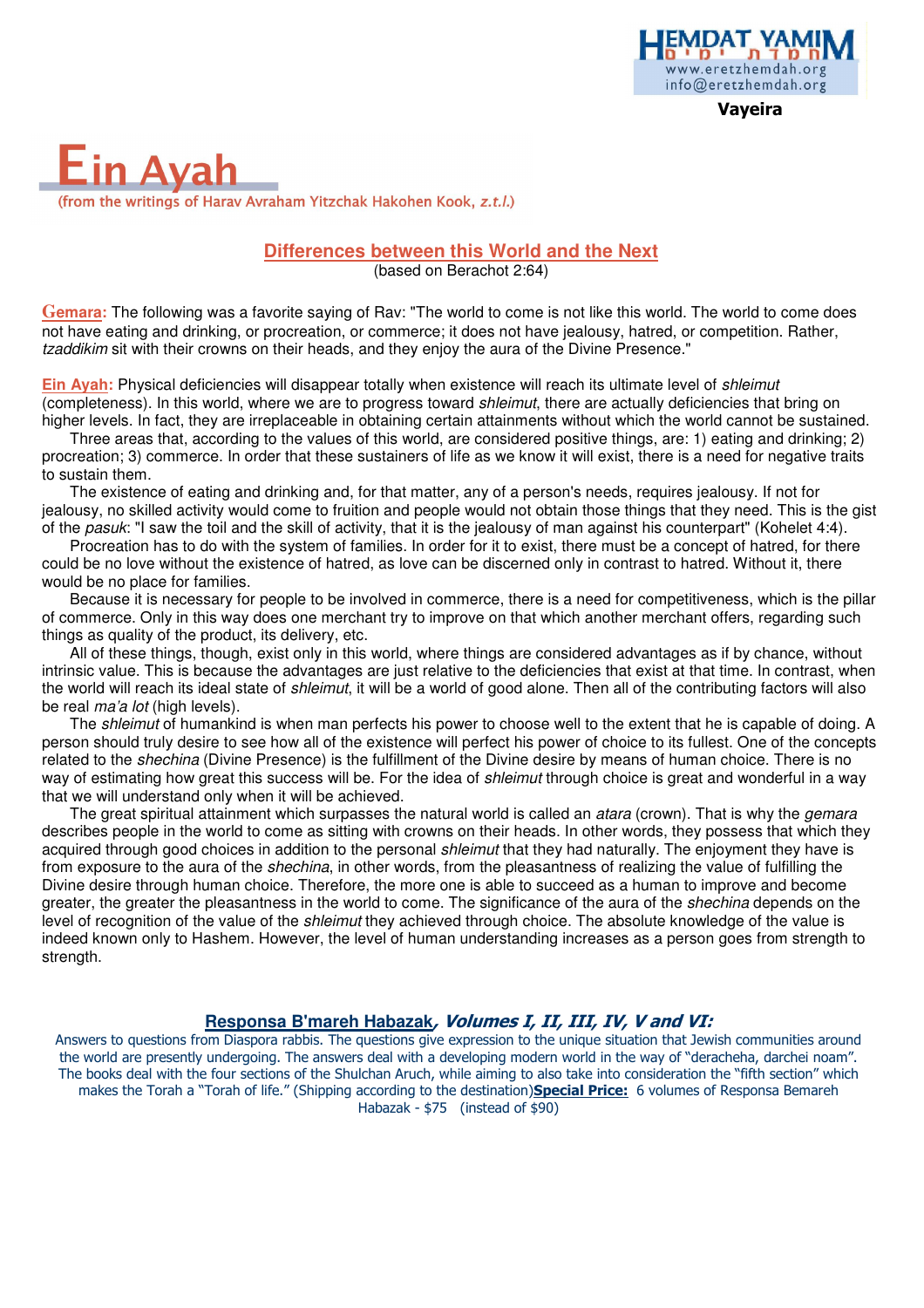

Vayeira

## **Ein Avah** (from the writings of Harav Avraham Yitzchak Hakohen Kook, z.t.l.)

#### **Differences between this World and the Next**

(based on Berachot 2:64)

**Gemara:** The following was a favorite saying of Rav: "The world to come is not like this world. The world to come does not have eating and drinking, or procreation, or commerce; it does not have jealousy, hatred, or competition. Rather, tzaddikim sit with their crowns on their heads, and they enjoy the aura of the Divine Presence."

**Ein Ayah:** Physical deficiencies will disappear totally when existence will reach its ultimate level of shleimut (completeness). In this world, where we are to progress toward *shleimut*, there are actually deficiencies that bring on higher levels. In fact, they are irreplaceable in obtaining certain attainments without which the world cannot be sustained.

Three areas that, according to the values of this world, are considered positive things, are: 1) eating and drinking; 2) procreation; 3) commerce. In order that these sustainers of life as we know it will exist, there is a need for negative traits to sustain them.

The existence of eating and drinking and, for that matter, any of a person's needs, requires jealousy. If not for jealousy, no skilled activity would come to fruition and people would not obtain those things that they need. This is the gist of the *pasuk*: "I saw the toil and the skill of activity, that it is the jealousy of man against his counterpart" (Kohelet 4:4).

Procreation has to do with the system of families. In order for it to exist, there must be a concept of hatred, for there could be no love without the existence of hatred, as love can be discerned only in contrast to hatred. Without it, there would be no place for families.

Because it is necessary for people to be involved in commerce, there is a need for competitiveness, which is the pillar of commerce. Only in this way does one merchant try to improve on that which another merchant offers, regarding such things as quality of the product, its delivery, etc.

All of these things, though, exist only in this world, where things are considered advantages as if by chance, without intrinsic value. This is because the advantages are just relative to the deficiencies that exist at that time. In contrast, when the world will reach its ideal state of shleimut, it will be a world of good alone. Then all of the contributing factors will also be real *ma'a lot* (high levels).

The *shleimut* of humankind is when man perfects his power to choose well to the extent that he is capable of doing. A person should truly desire to see how all of the existence will perfect his power of choice to its fullest. One of the concepts related to the *shechina* (Divine Presence) is the fulfillment of the Divine desire by means of human choice. There is no way of estimating how great this success will be. For the idea of shleimut through choice is great and wonderful in a way that we will understand only when it will be achieved.

The great spiritual attainment which surpasses the natural world is called an atara (crown). That is why the *gemara* describes people in the world to come as sitting with crowns on their heads. In other words, they possess that which they acquired through good choices in addition to the personal *shleimut* that they had naturally. The enjoyment they have is from exposure to the aura of the *shechina*, in other words, from the pleasantness of realizing the value of fulfilling the Divine desire through human choice. Therefore, the more one is able to succeed as a human to improve and become greater, the greater the pleasantness in the world to come. The significance of the aura of the shechina depends on the level of recognition of the value of the shleimut they achieved through choice. The absolute knowledge of the value is indeed known only to Hashem. However, the level of human understanding increases as a person goes from strength to strength.

#### **Responsa B'mareh Habazak**, Volumes I, II, III, IV, V and VI:

Answers to questions from Diaspora rabbis. The questions give expression to the unique situation that Jewish communities around the world are presently undergoing. The answers deal with a developing modern world in the way of "deracheha, darchei noam". The books deal with the four sections of the Shulchan Aruch, while aiming to also take into consideration the "fifth section" which makes the Torah a "Torah of life." (Shipping according to the destination)Special Price: 6 volumes of Responsa Bemareh Habazak - \$75 (instead of \$90)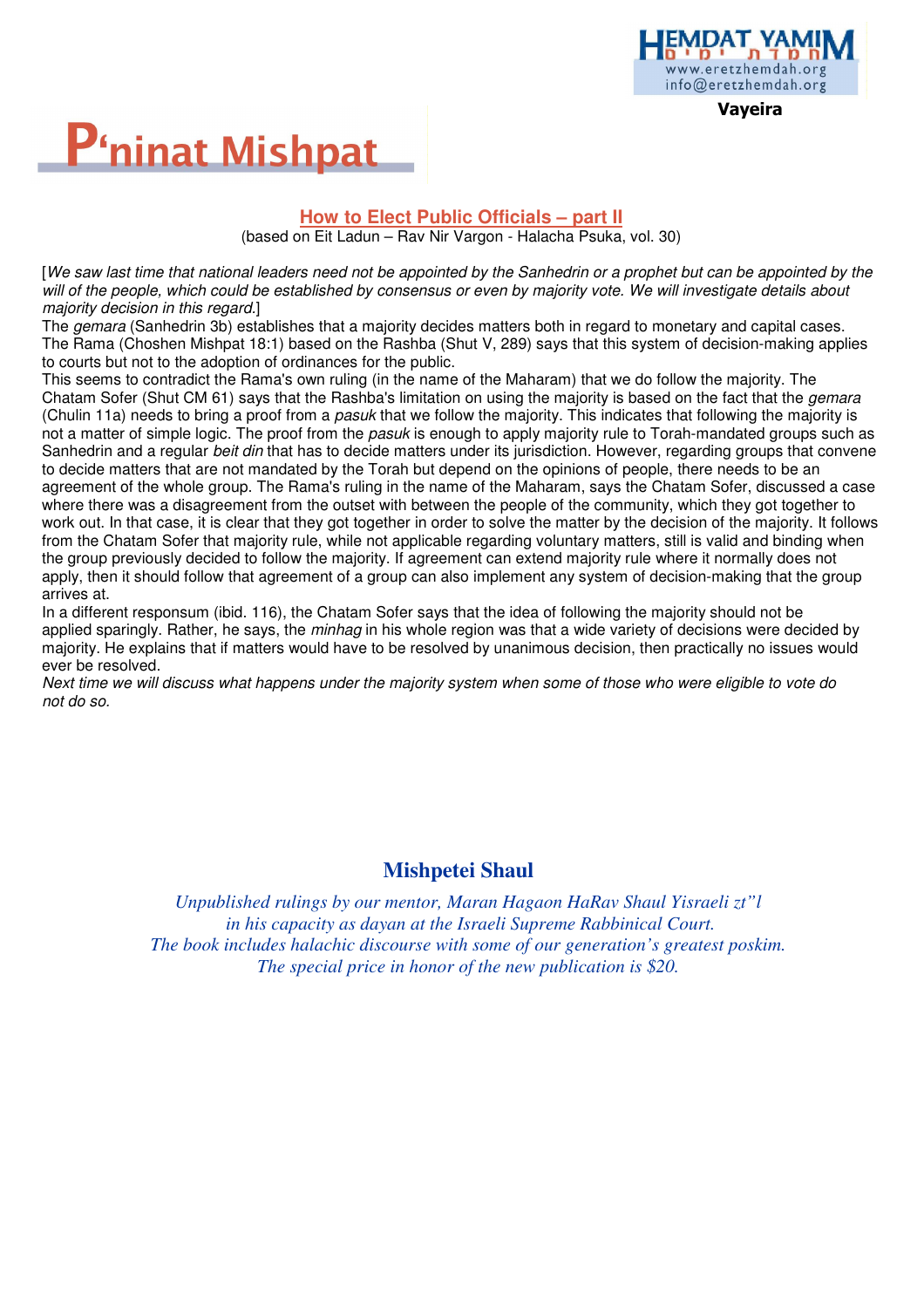

Vayeira



#### **How to Elect Public Officials – part II**

(based on Eit Ladun – Rav Nir Vargon - Halacha Psuka, vol. 30)

[We saw last time that national leaders need not be appointed by the Sanhedrin or a prophet but can be appointed by the will of the people, which could be established by consensus or even by majority vote. We will investigate details about majority decision in this regard.]

The *gemara* (Sanhedrin 3b) establishes that a majority decides matters both in regard to monetary and capital cases. The Rama (Choshen Mishpat 18:1) based on the Rashba (Shut V, 289) says that this system of decision-making applies to courts but not to the adoption of ordinances for the public.

This seems to contradict the Rama's own ruling (in the name of the Maharam) that we do follow the majority. The Chatam Sofer (Shut CM 61) says that the Rashba's limitation on using the majority is based on the fact that the *gemara* (Chulin 11a) needs to bring a proof from a pasuk that we follow the majority. This indicates that following the majority is not a matter of simple logic. The proof from the pasuk is enough to apply majority rule to Torah-mandated groups such as Sanhedrin and a regular *beit din* that has to decide matters under its jurisdiction. However, regarding groups that convene to decide matters that are not mandated by the Torah but depend on the opinions of people, there needs to be an agreement of the whole group. The Rama's ruling in the name of the Maharam, says the Chatam Sofer, discussed a case where there was a disagreement from the outset with between the people of the community, which they got together to work out. In that case, it is clear that they got together in order to solve the matter by the decision of the majority. It follows from the Chatam Sofer that majority rule, while not applicable regarding voluntary matters, still is valid and binding when the group previously decided to follow the majority. If agreement can extend majority rule where it normally does not apply, then it should follow that agreement of a group can also implement any system of decision-making that the group arrives at.

In a different responsum (ibid. 116), the Chatam Sofer says that the idea of following the majority should not be applied sparingly. Rather, he says, the minhag in his whole region was that a wide variety of decisions were decided by majority. He explains that if matters would have to be resolved by unanimous decision, then practically no issues would ever be resolved.

Next time we will discuss what happens under the majority system when some of those who were eligible to vote do not do so.

#### **Mishpetei Shaul**

*Unpublished rulings by our mentor, Maran Hagaon HaRav Shaul Yisraeli zt"l in his capacity as dayan at the Israeli Supreme Rabbinical Court. The book includes halachic discourse with some of our generation's greatest poskim. The special price in honor of the new publication is \$20.*